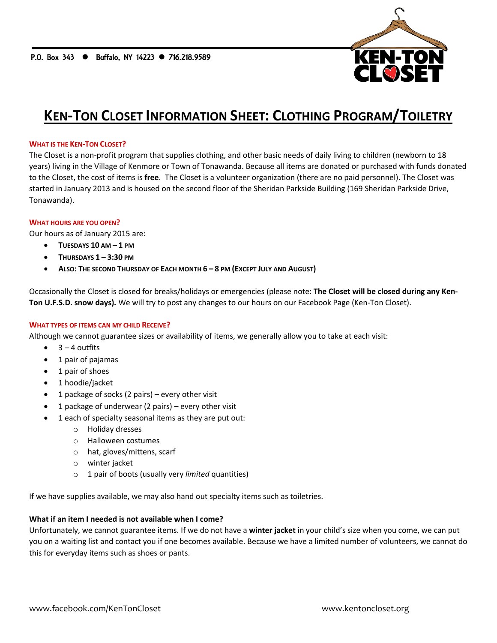

# **KEN-TON CLOSET INFORMATION SHEET: CLOTHING PROGRAM/TOILETRY**

## **WHAT IS THE KEN-TON CLOSET?**

The Closet is a non-profit program that supplies clothing, and other basic needs of daily living to children (newborn to 18 years) living in the Village of Kenmore or Town of Tonawanda. Because all items are donated or purchased with funds donated to the Closet, the cost of items is **free**. The Closet is a volunteer organization (there are no paid personnel). The Closet was started in January 2013 and is housed on the second floor of the Sheridan Parkside Building (169 Sheridan Parkside Drive, Tonawanda).

#### **WHAT HOURS ARE YOU OPEN?**

Our hours as of January 2015 are:

- **TUESDAYS 10 AM – 1 PM**
- **THURSDAYS 1 – 3:30 PM**
- **ALSO: THE SECOND THURSDAY OF EACH MONTH 6 – 8 PM (EXCEPT JULY AND AUGUST)**

Occasionally the Closet is closed for breaks/holidays or emergencies (please note: **The Closet will be closed during any Ken-Ton U.F.S.D. snow days).** We will try to post any changes to our hours on our Facebook Page (Ken-Ton Closet).

## **WHAT TYPES OF ITEMS CAN MY CHILD RECEIVE?**

Although we cannot guarantee sizes or availability of items, we generally allow you to take at each visit:

- $\bullet$  3 4 outfits
- 1 pair of pajamas
- 1 pair of shoes
- 1 hoodie/jacket
- 1 package of socks (2 pairs) every other visit
- 1 package of underwear (2 pairs) every other visit
- 1 each of specialty seasonal items as they are put out:
	- o Holiday dresses
	- o Halloween costumes
	- o hat, gloves/mittens, scarf
	- o winter jacket
	- o 1 pair of boots (usually very *limited* quantities)

If we have supplies available, we may also hand out specialty items such as toiletries.

# **What if an item I needed is not available when I come?**

Unfortunately, we cannot guarantee items. If we do not have a **winter jacket** in your child's size when you come, we can put you on a waiting list and contact you if one becomes available. Because we have a limited number of volunteers, we cannot do this for everyday items such as shoes or pants.